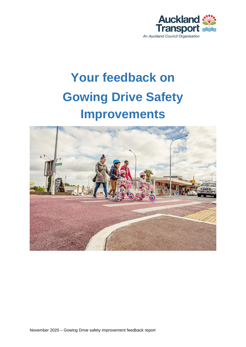

# **Your feedback on Gowing Drive Safety Improvements**

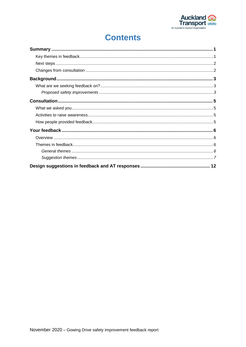

# **Contents**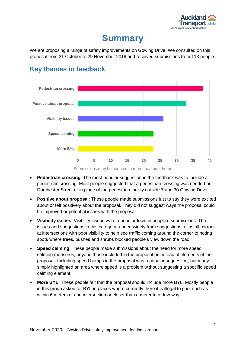

# **Summary**

<span id="page-2-0"></span>We are proposing a range of safety improvements on Gowing Drive. We consulted on this proposal from 31 October to 29 November 2019 and received submissions from 113 people.



# <span id="page-2-1"></span>**Key themes in feedback**

Submissions may be counted in more than one theme

- **Pedestrian crossing**: The most popular suggestion in the feedback was to include a pedestrian crossing. Most people suggested that a pedestrian crossing was needed on Dorchester Street or in place of the pedestrian facility outside 7 and 30 Gowing Drive.
- **Positive about proposal**: These people made submissions just to say they were excited about or felt positively about the proposal. They did not suggest ways the proposal could be improved or potential issues with the proposal
- **Visibility issues**: Visibility issues were a popular topic in people's submissions. The issues and suggestions in this category ranged widely from suggestions to install mirrors at intersections with poor visibility to help see traffic coming around the corner to noting spots where trees, bushes and shrubs blocked people's view down the road.
- **Speed calming**: These people made submissions about the need for more speed calming measures, beyond those included in the proposal or instead of elements of the proposal. Including speed humps in the proposal was a popular suggestion, but many simply highlighted an area where speed is a problem without suggesting a specific speed calming element.
- **More BYL**: These people felt that the proposal should include more BYL. Mostly people in this group asked for BYL in places where currently there it is illegal to park such as within 6 meters of and intersection or closer than a meter to a driveway.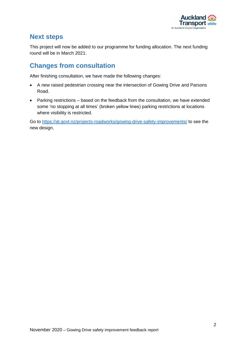

## <span id="page-3-0"></span>**Next steps**

This project will now be added to our programme for funding allocation. The next funding round will be in March 2021.

# <span id="page-3-1"></span>**Changes from consultation**

After finishing consultation, we have made the following changes:

- A new raised pedestrian crossing near the intersection of Gowing Drive and Parsons Road.
- Parking restrictions based on the feedback from the consultation, we have extended some 'no stopping at all times' (broken yellow lines) parking restrictions at locations where visibility is restricted.

Go to<https://at.govt.nz/projects-roadworks/gowing-drive-safety-improvements/> to see the new design.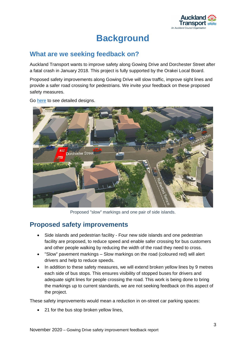

# **Background**

### <span id="page-4-1"></span><span id="page-4-0"></span>**What are we seeking feedback on?**

Auckland Transport wants to improve safety along Gowing Drive and Dorchester Street after a fatal crash in January 2018. This project is fully supported by the Orakei Local Board.

Proposed safety improvements along Gowing Drive will slow traffic, improve sight lines and provide a safer road crossing for pedestrians. We invite your feedback on these proposed safety measures.

Go [here](https://at.govt.nz/media/1981066/detailed-design-plans-for-gowing-drive.pdf) to see detailed designs.



Proposed "slow" markings and one pair of side islands.

### <span id="page-4-2"></span>**Proposed safety improvements**

- Side islands and pedestrian facility Four new side islands and one pedestrian facility are proposed, to reduce speed and enable safer crossing for bus customers and other people walking by reducing the width of the road they need to cross.
- "Slow" pavement markings Slow markings on the road (coloured red) will alert drivers and help to reduce speeds.
- In addition to these safety measures, we will extend broken yellow lines by 9 metres each side of bus stops. This ensures visibility of stopped buses for drivers and adequate sight lines for people crossing the road. This work is being done to bring the markings up to current standards, we are not seeking feedback on this aspect of the project.

These safety improvements would mean a reduction in on-street car parking spaces:

21 for the bus stop broken yellow lines,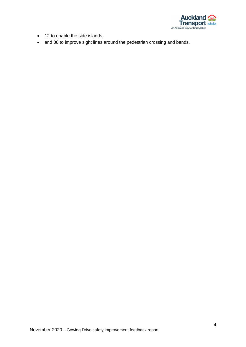

- 12 to enable the side islands,
- and 38 to improve sight lines around the pedestrian crossing and bends.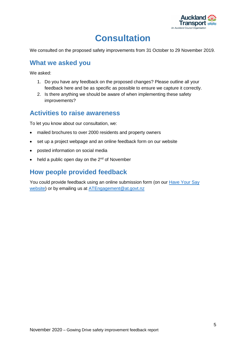

# **Consultation**

<span id="page-6-0"></span>We consulted on the proposed safety improvements from 31 October to 29 November 2019.

### <span id="page-6-1"></span>**What we asked you**

We asked:

- 1. Do you have any feedback on the proposed changes? Please outline all your feedback here and be as specific as possible to ensure we capture it correctly.
- 2. Is there anything we should be aware of when implementing these safety improvements?

### <span id="page-6-2"></span>**Activities to raise awareness**

To let you know about our consultation, we:

- mailed brochures to over 2000 residents and property owners
- set up a project webpage and an online feedback form on our website
- posted information on social media
- $\bullet$  held a public open day on the 2<sup>nd</sup> of November

# <span id="page-6-3"></span>**How people provided feedback**

You could provide feedback using an online submission form (on our Have Your Say [website\)](https://at.govt.nz/haveyoursay) or by emailing us at [ATEngagement@at.govt.nz](mailto:ATEngagement@at.govt.nz)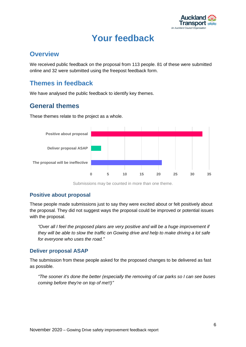

# **Your feedback**

### <span id="page-7-1"></span><span id="page-7-0"></span>**Overview**

We received public feedback on the proposal from 113 people. 81 of these were submitted online and 32 were submitted using the freepost feedback form.

# <span id="page-7-2"></span>**Themes in feedback**

We have analysed the public feedback to identify key themes.

# <span id="page-7-3"></span>**General themes**

These themes relate to the project as a whole.



Submissions may be counted in more than one theme.

#### **Positive about proposal**

These people made submissions just to say they were excited about or felt positively about the proposal. They did not suggest ways the proposal could be improved or potential issues with the proposal.

*"Over all I feel the proposed plans are very positive and will be a huge improvement if they will be able to slow the traffic on Gowing drive and help to make driving a lot safe for everyone who uses the road."*

#### **Deliver proposal ASAP**

The submission from these people asked for the proposed changes to be delivered as fast as possible.

*"The sooner it's done the better (especially the removing of car parks so I can see buses coming before they're on top of me!!)"*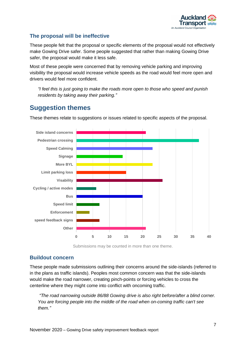

#### **The proposal will be ineffective**

These people felt that the proposal or specific elements of the proposal would not effectively make Gowing Drive safer. Some people suggested that rather than making Gowing Drive safer, the proposal would make it less safe.

Most of these people were concerned that by removing vehicle parking and improving visibility the proposal would increase vehicle speeds as the road would feel more open and drivers would feel more confident.

*"I feel this is just going to make the roads more open to those who speed and punish residents by taking away their parking."*

### <span id="page-8-0"></span>**Suggestion themes**

These themes relate to suggestions or issues related to specific aspects of the proposal.



Submissions may be counted in more than one theme.

#### **Buildout concern**

These people made submissions outlining their concerns around the side-islands (referred to in the plans as traffic islands). Peoples most common concern was that the side-islands would make the road narrower, creating pinch-points or forcing vehicles to cross the centerline where they might come into conflict with oncoming traffic.

*"The road narrowing outside 86/88 Gowing drive is also right before/after a blind corner. You are forcing people into the middle of the road when on-coming traffic can't see them."*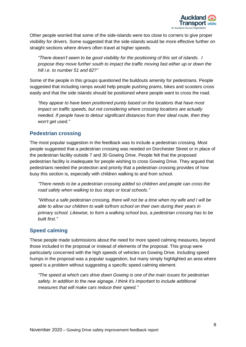

Other people worried that some of the side-islands were too close to corners to give proper visibility for drivers. Some suggested that the side-islands would be more effective further on straight sections where drivers often travel at higher speeds.

*"There doesn't seem to be good visibility for the positioning of this set of islands. I propose they move further south to impact the traffic moving fast either up or down the hill i.e. to number 51 and 82?"*

Some of the people in this groups questioned the buildouts amenity for pedestrians. People suggested that including ramps would help people pushing prams, bikes and scooters cross easily and that the side islands should be positioned where people want to cross the road.

*"they appear to have been positioned purely based on the locations that have most impact on traffic speeds, but not considering where crossing locations are actually needed. If people have to detour significant distances from their ideal route, then they won't get used."*

#### **Pedestrian crossing**

The most popular suggestion in the feedback was to include a pedestrian crossing. Most people suggested that a pedestrian crossing was needed on Dorchester Street or in place of the pedestrian facility outside 7 and 30 Gowing Drive. People felt that the proposed pedestrian facility is inadequate for people wishing to cross Gowing Drive. They argued that pedestrians needed the protection and priority that a pedestrian crossing provides of how busy this section is, especially with children walking to and from school.

*"There needs to be a pedestrian crossing added so children and people can cross the road safely when walking to bus stops or local schools."*

*"Without a safe pedestrian crossing, there will not be a time when my wife and I will be able to allow our children to walk to/from school on their own during their years in primary school. Likewise, to form a walking school bus, a pedestrian crossing has to be built first."*

#### **Speed calming**

These people made submissions about the need for more speed calming measures, beyond those included in the proposal or instead of elements of the proposal. This group were particularly concerned with the high speeds of vehicles on Gowing Drive. Including speed humps in the proposal was a popular suggestion, but many simply highlighted an area where speed is a problem without suggesting a specific speed calming element.

*"The speed at which cars drive down Gowing is one of the main issues for pedestrian safety. In addition to the new signage, I think it's important to include additional measures that will make cars reduce their speed."*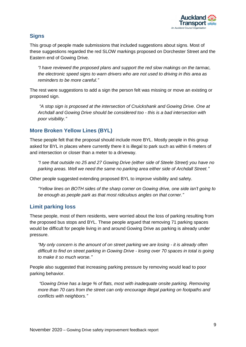

#### **Signs**

This group of people made submissions that included suggestions about signs. Most of these suggestions regarded the red SLOW markings proposed on Dorchester Street and the Eastern end of Gowing Drive.

*"I have reviewed the proposed plans and support the red slow makings on the tarmac, the electronic speed signs to warn drivers who are not used to driving in this area as reminders to be more careful."*

The rest were suggestions to add a sign the person felt was missing or move an existing or proposed sign.

*"A stop sign is proposed at the intersection of Cruickshank and Gowing Drive. One at Archdall and Gowing Drive should be considered too - this is a bad intersection with poor visibility."*

#### **More Broken Yellow Lines (BYL)**

These people felt that the proposal should include more BYL. Mostly people in this group asked for BYL in places where currently there it is illegal to park such as within 6 meters of and intersection or closer than a meter to a driveway.

*"I see that outside no 25 and 27 Gowing Drive (either side of Steele Street) you have no parking areas. Well we need the same no parking area either side of Archdall Street."*

Other people suggested extending proposed BYL to improve visibility and safety.

*"Yellow lines on BOTH sides of the sharp corner on Gowing drive, one side isn't going to be enough as people park as that most ridiculous angles on that corner."*

#### **Limit parking loss**

These people, most of them residents, were worried about the loss of parking resulting from the proposed bus stops and BYL. These people argued that removing 71 parking spaces would be difficult for people living in and around Gowing Drive as parking is already under pressure.

*"My only concern is the amount of on street parking we are losing - it is already often difficult to find on street parking in Gowing Drive - losing over 70 spaces in total is going to make it so much worse."*

People also suggested that increasing parking pressure by removing would lead to poor parking behavior.

*"Gowing Drive has a large % of flats, most with inadequate onsite parking. Removing more than 70 cars from the street can only encourage illegal parking on footpaths and conflicts with neighbors."*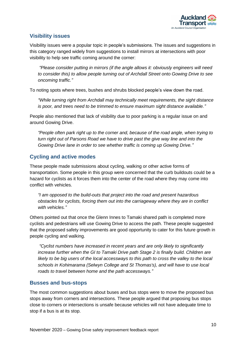

#### **Visibility issues**

Visibility issues were a popular topic in people's submissions. The issues and suggestions in this category ranged widely from suggestions to install mirrors at intersections with poor visibility to help see traffic coming around the corner:

*"Please consider putting in mirrors (if the angle allows it: obviously engineers will need to consider this) to allow people turning out of Archdall Street onto Gowing Drive to see oncoming traffic."*

To noting spots where trees, bushes and shrubs blocked people's view down the road.

*"While turning right from Archdall may technically meet requirements, the sight distance is poor, and trees need to be trimmed to ensure maximum sight distance available."*

People also mentioned that lack of visibility due to poor parking is a regular issue on and around Gowing Drive.

*"People often park right up to the corner and, because of the road angle, when trying to turn right out of Parsons Road we have to drive past the give way line and into the Gowing Drive lane in order to see whether traffic is coming up Gowing Drive."*

#### **Cycling and active modes**

These people made submissions about cycling, walking or other active forms of transportation. Some people in this group were concerned that the curb buildouts could be a hazard for cyclists as it forces them into the center of the road where they may come into conflict with vehicles.

*"I am opposed to the build-outs that project into the road and present hazardous obstacles for cyclists, forcing them out into the carriageway where they are in conflict with vehicles."*

Others pointed out that once the Glenn Innes to Tamaki shared path is completed more cyclists and pedestrians will use Gowing Drive to access the path. These people suggested that the proposed safety improvements are good opportunity to cater for this future growth in people cycling and walking.

*"Cyclist numbers have increased in recent years and are only likely to significantly increase further when the GI to Tamaki Drive path Stage 2 is finally build. Children are likely to be big users of the local accessways to this path to cross the valley to the local schools in Kohimarama (Selwyn College and St Thomas's), and will have to use local roads to travel between home and the path accessways."*

#### **Busses and bus-stops**

The most common suggestions about buses and bus stops were to move the proposed bus stops away from corners and intersections. These people argued that proposing bus stops close to corners or intersections is unsafe because vehicles will not have adequate time to stop if a bus is at its stop.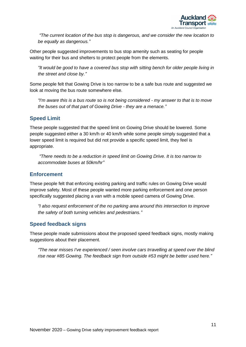

*"The current location of the bus stop is dangerous, and we consider the new location to be equally as dangerous."*

Other people suggested improvements to bus stop amenity such as seating for people waiting for their bus and shelters to protect people from the elements.

*"It would be good to have a covered bus stop with sitting bench for older people living in the street and close by."*

Some people felt that Gowing Drive is too narrow to be a safe bus route and suggested we look at moving the bus route somewhere else.

*"I'm aware this is a bus route so is not being considered - my answer to that is to move the buses out of that part of Gowing Drive - they are a menace."*

#### **Speed Limit**

These people suggested that the speed limit on Gowing Drive should be lowered. Some people suggested either a 30 km/h or 40 km/h while some people simply suggested that a lower speed limit is required but did not provide a specific speed limit, they feel is appropriate.

*"There needs to be a reduction in speed limit on Gowing Drive. It is too narrow to accommodate buses at 50km/hr"*

#### **Enforcement**

These people felt that enforcing existing parking and traffic rules on Gowing Drive would improve safety. Most of these people wanted more parking enforcement and one person specifically suggested placing a van with a mobile speed camera of Gowing Drive.

*"I also request enforcement of the no parking area around this intersection to improve the safety of both turning vehicles and pedestrians."*

#### **Speed feedback signs**

These people made submissions about the proposed speed feedback signs, mostly making suggestions about their placement.

*"The near misses I've experienced / seen involve cars trravelling at speed over the blind rise near #85 Gowing. The feedback sign from outside #53 might be better used here."*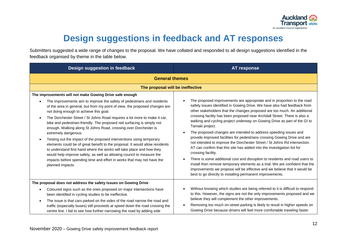

# **Design suggestions in feedback and AT responses**

Submitters suggested a wide range of changes to the proposal. We have collated and responded to all design suggestions identified in the feedback organised by theme in the table below.

<span id="page-13-0"></span>

| Design suggestion in feedback                                                                                                                                                                                                                                                                                                                                                                                                                                                                                                                                                                                                                                                                                                                                                                                                                                                                                          | <b>AT response</b>                                                                                                                                                                                                                                                                                                                                                                                                                                                                                                                                                                                                                                                                                                                                                                                                                                                                                                                                                                      |
|------------------------------------------------------------------------------------------------------------------------------------------------------------------------------------------------------------------------------------------------------------------------------------------------------------------------------------------------------------------------------------------------------------------------------------------------------------------------------------------------------------------------------------------------------------------------------------------------------------------------------------------------------------------------------------------------------------------------------------------------------------------------------------------------------------------------------------------------------------------------------------------------------------------------|-----------------------------------------------------------------------------------------------------------------------------------------------------------------------------------------------------------------------------------------------------------------------------------------------------------------------------------------------------------------------------------------------------------------------------------------------------------------------------------------------------------------------------------------------------------------------------------------------------------------------------------------------------------------------------------------------------------------------------------------------------------------------------------------------------------------------------------------------------------------------------------------------------------------------------------------------------------------------------------------|
| <b>General themes</b>                                                                                                                                                                                                                                                                                                                                                                                                                                                                                                                                                                                                                                                                                                                                                                                                                                                                                                  |                                                                                                                                                                                                                                                                                                                                                                                                                                                                                                                                                                                                                                                                                                                                                                                                                                                                                                                                                                                         |
| The proposal will be ineffective                                                                                                                                                                                                                                                                                                                                                                                                                                                                                                                                                                                                                                                                                                                                                                                                                                                                                       |                                                                                                                                                                                                                                                                                                                                                                                                                                                                                                                                                                                                                                                                                                                                                                                                                                                                                                                                                                                         |
| The improvements will not make Gowing Drive safe enough<br>The improvements aim to improve the safety of pedestrians and residents<br>of the area in general, but from my point of view, the proposed changes are<br>not doing enough to achieve this goal.<br>The Dorchester Street / St Johns Road requires a lot more to make it car,<br>bike and pedestrian-friendly. The proposed red surfacing is simply not<br>enough. Walking along St Johns Road, crossing over Dorchester is<br>extremely dangerous.<br>Testing out the impact of the proposed interventions using temporary<br>elements could be of great benefit to the proposal. It would allow residents<br>to understand first hand where the works will take place and how they<br>would help improve safety, as well as allowing council to measure the<br>impacts before spending time and effort in works that may not have the<br>planned impacts. | The proposed improvements are appropriate and in proportion to the road<br>safety issues identified in Gowing Drive. We have also had feedback from<br>other stakeholders that the changes proposed are too much. An additional<br>crossing facility has been proposed near Archdall Street. There is also a<br>walking and cycling project underway on Gowing Drive as part of the GI to<br>Tamaki project.<br>The proposed changes are intended to address speeding issues and<br>provide improved facilities for pedestrians crossing Gowing Drive and are<br>not intended to improve the Dorchester Street / St Johns Rd intersection.<br>AT can confirm that this site has added into the investigation list for<br>crossing facility.<br>There is some additional cost and disruption to residents and road users to<br>install then remove temporary elements as a trial. We are confident that the<br>improvements we propose will be effective and we believe that it would be |
| The proposal does not address the safety issues on Gowing Drive                                                                                                                                                                                                                                                                                                                                                                                                                                                                                                                                                                                                                                                                                                                                                                                                                                                        | best to go directly to installing permanent improvements.                                                                                                                                                                                                                                                                                                                                                                                                                                                                                                                                                                                                                                                                                                                                                                                                                                                                                                                               |
| Coloured signs such as the ones proposed on major intersections have<br>been identified in cycling studies to be ineffective.<br>The issue is that cars parked on the sides of the road narrow the road and<br>$\bullet$<br>traffic (especially buses) still proceeds at speed down the road crossing the<br>centre line. I fail to see how further narrowing the road by adding side                                                                                                                                                                                                                                                                                                                                                                                                                                                                                                                                  | Without knowing which studies are being referred to it is difficult to respond<br>to this. However, the signs are not the only improvements proposed and we<br>believe they will complement the other improvements.<br>Removing too much on-street parking is likely to result in higher speeds on<br>Gowing Drive because drivers will feel more comfortable traveling faster                                                                                                                                                                                                                                                                                                                                                                                                                                                                                                                                                                                                          |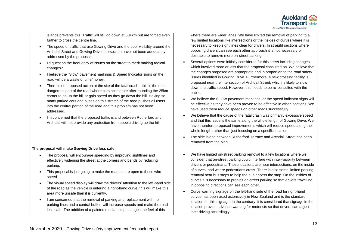

| islands prevents this. Traffic will still go down at 50+km but are forced even |  |
|--------------------------------------------------------------------------------|--|
| further to cross the centre line.                                              |  |

- The speed of traffic that use Gowing Drive and the poor visibility around the Archdall Street and Gowing Drive intersection have not been adequately addressed by the proposals.
- I'd question the frequency of issues on the street to merit making radical changes?
- I believe the "Slow" pavement markings & Speed Indicator signs on the road will be a waste of time/money.
- There is no proposed action at the site of the fatal crash this is the most dangerous part of the road where cars accelerate after rounding the 25km corner to go up the hill or gain speed as they go down the hill. Having so many parked cars and buses on this stretch of the road pushes all users into the central portion of the road and this problem has not been addressed.
- I'm concerned that the proposed traffic island between Rutherford and Archdall will not provide any protection from people driving up the hill.

where there are wider lanes. We have limited the removal of parking to a few limited locations like intersections or the insides of curves where it is necessary to keep sight lines clear for drivers. In straight sections where opposing drivers can see each other approach it is not necessary or desirable to remove more on-street parking.

- Several options were initially considered for this street including changes which involved more or less that the proposal consulted on. We believe that the changes proposed are appropriate and in proportion to the road safety issues identified in Gowing Drive. Furthermore, a new crossing facility is proposed near the intersection of Archdall Street, which is likely to slow down the traffic speed. However, this needs to be re-consulted with the public.
- We believe the SLOW pavement markings, or the speed indicator signs will be effective as they have been proven to be effective in other locations. We have used them reduce speeds on other roads successfully.
- We believe that the cause of the fatal crash was primarily excessive speed and that this issue is the same along the whole length of Gowing Drive. We have therefore proposed improvements which will reduce speed along the whole length rather than just focusing on a specific location.
- The side island between Rutherford Terrace and Archdall Street has been removed from the plan.

**The proposal will make Gowing Drive less safe**

- The proposal will encourage speeding by improving sightlines and effectively widening the street at the corners and bends by reducing parking.
- This proposal is just going to make the roads more open to those who speed
- The visual speed display will draw the drivers' attention to the left-hand side of the road as the vehicle is entering a right-hand curve, this will make this area more unsafe than it is currently.
- I am concerned that the removal of parking and replacement with noparking lines and a central buffer, will increase speeds and make the road less safe. The addition of a painted median strip changes the feel of this
- We have limited on-street parking removal to a few locations where we consider that on-street parking could interfere with inter-visibility between drivers or pedestrians. These locations are near intersections, on the inside of curves, and where pedestrians cross. There is also some limited parking removal near bus stops to help the bus access the stop. On the insides of curves it is necessary to prohibit on-street parking so that drivers travelling in opposing directions can see each other.
- Curve warning signage on the left-hand side of the road for right-hand curves has been used extensively in New Zealand and is the standard location for this signage. In the contrary, it is considered that signage in the location provide advance warning for motorists so that drivers can adjust their driving accordingly.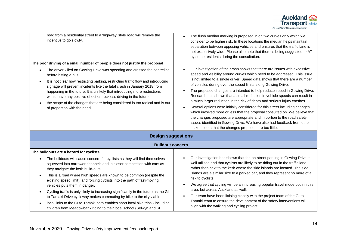

| The poor driving of a small number of people does not justify the proposal<br>The driver killed on Gowing Drive was speeding and crossed the centreline<br>before hitting a bus.<br>It is not clear how restricting parking, restricting traffic flow and introducing<br>$\bullet$<br>signage will prevent incidents like the fatal crash in January 2018 from<br>happening in the future. It is unlikely that introducing more restrictions<br>would have any positive effect on reckless driving in the future<br>the scope of the changes that are being considered is too radical and is out<br>$\bullet$<br>of proportion with the need.                                                                     | Our investigation of the crash shows that there are issues with excessive<br>speed and visibility around curves which need to be addressed. This issue<br>is not limited to a single driver. Speed data shows that there are a number<br>of vehicles during over the speed limits along Gowing Drive.<br>The proposed changes are intended to help reduce speed in Gowing Drive.<br>Research has shown that a small reduction in vehicle speeds can result in<br>a much larger reduction in the risk of death and serious injury crashes.<br>Several options were initially considered for this street including changes<br>which involved more or less that the proposal consulted on. We believe that<br>the changes proposed are appropriate and in portion to the road safety<br>issues identified in Gowing Drive. We have also had feedback from other<br>stakeholders that the changes proposed are too little. |  |
|-------------------------------------------------------------------------------------------------------------------------------------------------------------------------------------------------------------------------------------------------------------------------------------------------------------------------------------------------------------------------------------------------------------------------------------------------------------------------------------------------------------------------------------------------------------------------------------------------------------------------------------------------------------------------------------------------------------------|------------------------------------------------------------------------------------------------------------------------------------------------------------------------------------------------------------------------------------------------------------------------------------------------------------------------------------------------------------------------------------------------------------------------------------------------------------------------------------------------------------------------------------------------------------------------------------------------------------------------------------------------------------------------------------------------------------------------------------------------------------------------------------------------------------------------------------------------------------------------------------------------------------------------|--|
| <b>Design suggestions</b>                                                                                                                                                                                                                                                                                                                                                                                                                                                                                                                                                                                                                                                                                         |                                                                                                                                                                                                                                                                                                                                                                                                                                                                                                                                                                                                                                                                                                                                                                                                                                                                                                                        |  |
|                                                                                                                                                                                                                                                                                                                                                                                                                                                                                                                                                                                                                                                                                                                   | <b>Buildout concern</b>                                                                                                                                                                                                                                                                                                                                                                                                                                                                                                                                                                                                                                                                                                                                                                                                                                                                                                |  |
| The buildouts are a hazard for cyclists<br>The buildouts will cause concern for cyclists as they will find themselves<br>$\bullet$<br>squeezed into narrower channels and in closer competition with cars as<br>they navigate the kerb build-outs.<br>This is a road where high speeds are known to be common (despite the<br>$\bullet$<br>existing speed limit), and forcing cyclists into the path of fast-moving<br>vehicles puts them in danger.<br>Cycling traffic is only likely to increasing significantly in the future as the GI<br>$\bullet$<br>to Tamaki Drive cycleway makes commuting by bike to the city viable<br>local links to the GI to Tamaki path enables short local bike trips - including | Our investigation has shown that the on-street parking in Gowing Drive is<br>well utilised and that cyclists are likely to be riding out in the traffic lane<br>rather than next to the kerb where the side islands are located. The side<br>islands are a similar size to a parked car, and they represent no more of a<br>risk to cyclists.<br>We agree that cycling will be an increasing popular travel mode both in this<br>area, but across Auckland as well.<br>Our team have been liaising closely with the project team of the GI to<br>Tamaki team to ensure the development of the safety interventions will                                                                                                                                                                                                                                                                                                |  |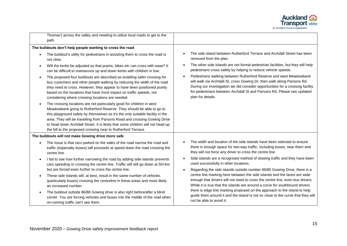

| Thomas') across the valley and needing to utilize local roads to get to the                                                                                                                                                                                                                                                                                                                                                                                                  |                                                                                                                                                                                                                                                                                                                                |
|------------------------------------------------------------------------------------------------------------------------------------------------------------------------------------------------------------------------------------------------------------------------------------------------------------------------------------------------------------------------------------------------------------------------------------------------------------------------------|--------------------------------------------------------------------------------------------------------------------------------------------------------------------------------------------------------------------------------------------------------------------------------------------------------------------------------|
| path.                                                                                                                                                                                                                                                                                                                                                                                                                                                                        |                                                                                                                                                                                                                                                                                                                                |
| The buildouts don't help people wanting to cross the road                                                                                                                                                                                                                                                                                                                                                                                                                    |                                                                                                                                                                                                                                                                                                                                |
| The buildout's utility for pedestrians in assisting them to cross the road is<br>not clear.                                                                                                                                                                                                                                                                                                                                                                                  | The side island between Rutherford Terrace and Archdall Street has been<br>removed from the plan.                                                                                                                                                                                                                              |
| Will the kerbs be adjusted so that prams, bikes etc can cross with ease? It<br>$\bullet$<br>can be difficult to manoeuvre up and down kerbs with children in tow.                                                                                                                                                                                                                                                                                                            | The other side islands are not formal pedestrian facilities, but they will help<br>pedestrians cross safely by helping to reduce vehicle speeds.                                                                                                                                                                               |
| The proposed four buildouts are described as enabling safer crossing for<br>$\bullet$<br>bus customers and other people walking by reducing the width of the road<br>they need to cross. However, they appear to have been positioned purely<br>based on the locations that have most impact on traffic speeds, not<br>considering where crossing locations are needed.                                                                                                      | Pedestrians walking between Rutherford Reserve and west Meadowbank<br>will walk via Archdall St, cross Gowing Dr, then walk along Parsons Rd.<br>During our investigation we did consider opportunities for a crossing facility<br>for pedestrians between Archdall St and Parsons Rd. Please see updated<br>plan for details. |
| The crossing locations are not particularly good for children in west<br>$\bullet$<br>Meadowbank going to Rutherford Reserve. They should be able to go to<br>this playground safely by themselves as it's the only suitable facility in the<br>area. They will be travelling from Parsons Road and crossing Gowing Drive<br>to head down Archdall Street. It is likely that some children will not head up<br>the hill to the proposed crossing near to Rutherford Terrace. |                                                                                                                                                                                                                                                                                                                                |
| The buildouts will not make Gowing drive more safe                                                                                                                                                                                                                                                                                                                                                                                                                           |                                                                                                                                                                                                                                                                                                                                |
| The issue is that cars parked on the sides of the road narrow the road and<br>traffic (especially buses) still proceeds at speed down the road crossing the<br>centre line.                                                                                                                                                                                                                                                                                                  | The width and location of the side islands have been selected to ensure<br>there is enough space for two-way traffic, including buses, near them and<br>they will not force any driver to cross the centre line.                                                                                                               |
| I fail to see how further narrowing the road by adding side islands prevents<br>$\bullet$<br>cars speeding or crossing the centre line. Traffic will still go down at 50+km                                                                                                                                                                                                                                                                                                  | Side islands are a recognised method of slowing traffic and they have been<br>used successfully in other locations.                                                                                                                                                                                                            |
| but are forced even further to cross the centre line.<br>These side islands will, at best, result in the same number of vehicles<br>(particularly buses) crossing the centreline in these areas and more likely<br>an increased number.                                                                                                                                                                                                                                      | Regarding the side islands outside number 86/80 Gowing Drive; there is a<br>centre line marking here between the side islands and the lanes are wide<br>enough that drivers will not need to cross the centre line, even bus drivers.<br>While it is true that the islands are around a curve for southbound drivers           |
| The buildout outside 86/88 Gowing drive is also right before/after a blind<br>$\bullet$<br>corner. You are forcing vehicles and buses into the middle of the road when<br>on-coming traffic can't see them.                                                                                                                                                                                                                                                                  | there is edge line marking proposed on the approach to the island to help<br>guide them around it and the island is not so close to the curve that they will<br>not be able to avoid it.                                                                                                                                       |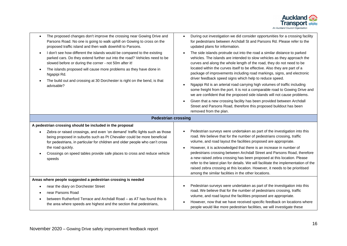

| The proposed changes don't improve the crossing near Gowing Drive and<br>$\bullet$<br>Parsons Road. No one is going to walk uphill on Gowing to cross on the<br>proposed traffic island and then walk downhill to Parsons.<br>I don't see how different the islands would be compared to the existing<br>$\bullet$<br>parked cars. Do they extend further out into the road? Vehicles need to be<br>slowed before or during the corner - not 50m after it!<br>The islands proposed will cause more problems as they have done in<br>$\bullet$<br>Ngapipi Rd.<br>The build out and crossing at 30 Dorchester is right on the bend, is that<br>advisable? | During out investigation we did consider opportunities for a crossing facility<br>for pedestrians between Archdall St and Parsons Rd. Please refer to the<br>updated plans for information.<br>The side islands protrude out into the road a similar distance to parked<br>vehicles. The islands are intended to slow vehicles as they approach the<br>curves and along the whole length of the road, they do not need to be<br>located within the curves itself to be effective. Also they are part of a<br>package of improvements including road markings, signs, and electronic<br>driver feedback speed signs which help to reduce speed.<br>Ngapipi Rd is an arterial road carrying high volumes of traffic including<br>some freight from the port. It is not a comparable road to Gowing Drive and<br>we are confident that the proposed side islands will not cause problems.<br>Given that a new crossing facility has been provided between Archdall<br>Street and Parsons Road, therefore this proposed buildout has been<br>removed from the plan. |
|---------------------------------------------------------------------------------------------------------------------------------------------------------------------------------------------------------------------------------------------------------------------------------------------------------------------------------------------------------------------------------------------------------------------------------------------------------------------------------------------------------------------------------------------------------------------------------------------------------------------------------------------------------|-----------------------------------------------------------------------------------------------------------------------------------------------------------------------------------------------------------------------------------------------------------------------------------------------------------------------------------------------------------------------------------------------------------------------------------------------------------------------------------------------------------------------------------------------------------------------------------------------------------------------------------------------------------------------------------------------------------------------------------------------------------------------------------------------------------------------------------------------------------------------------------------------------------------------------------------------------------------------------------------------------------------------------------------------------------------|
| <b>Pedestrian crossing</b>                                                                                                                                                                                                                                                                                                                                                                                                                                                                                                                                                                                                                              |                                                                                                                                                                                                                                                                                                                                                                                                                                                                                                                                                                                                                                                                                                                                                                                                                                                                                                                                                                                                                                                                 |
| A pedestrian crossing should be included in the proposal                                                                                                                                                                                                                                                                                                                                                                                                                                                                                                                                                                                                |                                                                                                                                                                                                                                                                                                                                                                                                                                                                                                                                                                                                                                                                                                                                                                                                                                                                                                                                                                                                                                                                 |
| Zebra or raised crossings, and even 'on demand' traffic lights such as those<br>being proposed in suburbs such as Pt Chevalier could be more beneficial<br>for pedestrians, in particular for children and older people who can't cross<br>the road quickly.<br>Crossings on speed tables provide safe places to cross and reduce vehicle<br>speeds                                                                                                                                                                                                                                                                                                     | Pedestrian surveys were undertaken as part of the investigation into this<br>road. We believe that for the number of pedestrians crossing, traffic<br>volume, and road layout the facilities proposed are appropriate.<br>However, it is acknowledged that there is an increase in number of<br>pedestrians crossing between Archdall Street and Parsons Road, therefore<br>a new raised zebra crossing has been proposed at this location. Please<br>refer to the latest plan for details. We will facilitate the implementation of the<br>raised zebra crossing at this location. However, it needs to be prioritised<br>among the similar facilities in the other locations.                                                                                                                                                                                                                                                                                                                                                                                 |
| Areas where people suggested a pedestrian crossing is needed                                                                                                                                                                                                                                                                                                                                                                                                                                                                                                                                                                                            |                                                                                                                                                                                                                                                                                                                                                                                                                                                                                                                                                                                                                                                                                                                                                                                                                                                                                                                                                                                                                                                                 |
| near the diary on Dorchester Street<br>near Parsons Road<br>$\bullet$<br>between Rutherford Terrace and Archdall Road - as AT has found this is<br>the area where speeds are highest and the section that pedestrians,                                                                                                                                                                                                                                                                                                                                                                                                                                  | Pedestrian surveys were undertaken as part of the investigation into this<br>road. We believe that for the number of pedestrians crossing, traffic<br>volume, and road layout the facilities proposed are appropriate.<br>However, now that we have received specific feedback on locations where<br>people would like more pedestrian facilities, we will investigate these                                                                                                                                                                                                                                                                                                                                                                                                                                                                                                                                                                                                                                                                                    |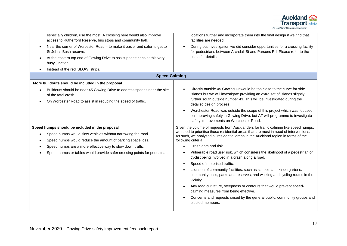

| especially children, use the most. A crossing here would also improve<br>access to Rutherford Reserve, bus stops and community hall.<br>Near the corner of Worcester Road - to make it easier and safer to get to<br>St Johns Bush reserve.<br>At the eastern top end of Gowing Drive to assist pedestrians at this very<br>busy junction.<br>Instead of the red 'SLOW' strips. | locations further and incorporate them into the final design if we find that<br>facilities are needed.<br>During out investigation we did consider opportunities for a crossing facility<br>for pedestrians between Archdall St and Parsons Rd. Please refer to the<br>plans for details.                                                                                                                                                                                                                                                                                                                                                                                                                                                                                                                                                                              |
|---------------------------------------------------------------------------------------------------------------------------------------------------------------------------------------------------------------------------------------------------------------------------------------------------------------------------------------------------------------------------------|------------------------------------------------------------------------------------------------------------------------------------------------------------------------------------------------------------------------------------------------------------------------------------------------------------------------------------------------------------------------------------------------------------------------------------------------------------------------------------------------------------------------------------------------------------------------------------------------------------------------------------------------------------------------------------------------------------------------------------------------------------------------------------------------------------------------------------------------------------------------|
| <b>Speed Calming</b>                                                                                                                                                                                                                                                                                                                                                            |                                                                                                                                                                                                                                                                                                                                                                                                                                                                                                                                                                                                                                                                                                                                                                                                                                                                        |
| More buildouts should be included in the proposal<br>Buildouts should be near 45 Gowing Drive to address speeds near the site<br>of the fatal crash.<br>On Worcester Road to assist in reducing the speed of traffic.                                                                                                                                                           | Directly outside 45 Gowing Dr would be too close to the curve for side<br>islands but we will investigate providing an extra set of islands slightly<br>further south outside number 43. This will be investigated during the<br>detailed design process.<br>Worchester Road was outside the scope of this project which was focused<br>on improving safety in Gowing Drive, but AT will programme to investigate<br>safety improvements on Worchester Road.                                                                                                                                                                                                                                                                                                                                                                                                           |
| Speed humps should be included in the proposal<br>Speed humps would slow vehicles without narrowing the road.<br>Speed humps would reduce the amount of parking space loss.<br>Speed humps are a more effective way to slow down traffic.<br>Speed humps or tables would provide safer crossing points for pedestrians.                                                         | Given the volume of requests from Aucklanders for traffic calming like speed humps,<br>we need to prioritise those residential areas that are most in need of interventions.<br>As such, we analysed all residential areas in the Auckland region in terms of the<br>following criteria:<br>Crash data and risk.<br>Vulnerable road user risk, which considers the likelihood of a pedestrian or<br>cyclist being involved in a crash along a road.<br>Speed of motorised traffic.<br>Location of community facilities, such as schools and kindergartens,<br>community halls, parks and reserves, and walking and cycling routes in the<br>vicinity.<br>Any road curvature, steepness or contours that would prevent speed-<br>calming measures from being effective.<br>Concerns and requests raised by the general public, community groups and<br>elected members. |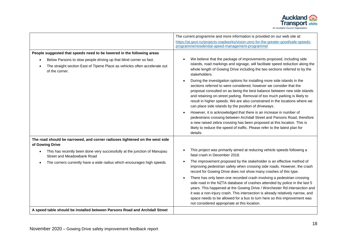

|                                                                                                                                                                    | The current programme and more information is provided on our web site at:                                                                                                                                                                                                                                                                                                                                                                      |
|--------------------------------------------------------------------------------------------------------------------------------------------------------------------|-------------------------------------------------------------------------------------------------------------------------------------------------------------------------------------------------------------------------------------------------------------------------------------------------------------------------------------------------------------------------------------------------------------------------------------------------|
|                                                                                                                                                                    | https://at.govt.nz/projects-roadworks/vision-zero-for-the-greater-good/safe-speeds-                                                                                                                                                                                                                                                                                                                                                             |
|                                                                                                                                                                    | programme/residential-speed-management-programme/                                                                                                                                                                                                                                                                                                                                                                                               |
| People suggested that speeds need to be lowered in the following areas                                                                                             |                                                                                                                                                                                                                                                                                                                                                                                                                                                 |
| Below Parsons to slow people driving up that blind corner so fast.<br>The straight section East of Tipene Place as vehicles often accelerate out<br>of the corner. | We believe that the package of improvements proposed, including side<br>islands, road markings and signage, will facilitate speed reduction along the<br>whole length of Gowing Drive including the two sections referred to by the<br>stakeholders.                                                                                                                                                                                            |
|                                                                                                                                                                    | During the investigation options for installing more side islands in the<br>sections referred to were considered, however we consider that the<br>proposal consulted on as being the best balance between new side islands<br>and retaining on-street parking. Removal of too much parking is likely to<br>result in higher speeds. We are also constrained in the locations where we<br>can place side islands by the position of driveways.   |
|                                                                                                                                                                    | However, it is acknowledged that there is an increase in number of<br>pedestrians crossing between Archdall Street and Parsons Road, therefore<br>a new raised zebra crossing has been proposed at this location. This is<br>likely to reduce the speed of traffic. Please refer to the latest plan for<br>details.                                                                                                                             |
| The road should be narrowed, and corner radiuses tightened on the west side<br>of Gowing Drive                                                                     |                                                                                                                                                                                                                                                                                                                                                                                                                                                 |
| This has recently been done very successfully at the junction of Manupau<br>Street and Meadowbank Road                                                             | This project was primarily aimed at reducing vehicle speeds following a<br>fatal crash in December 2018.                                                                                                                                                                                                                                                                                                                                        |
| The corners currently have a wide radius which encourages high speeds                                                                                              | The improvement proposed by the stakeholder is an effective method of<br>improving pedestrian safety when crossing side roads. However, the crash<br>record for Gowing Drive does not show many crashes of this type.                                                                                                                                                                                                                           |
|                                                                                                                                                                    | There has only been one recorded crash involving a pedestrian crossing<br>side road in the NZTA database of crashes attended by police in the last 5<br>years. This happened at the Gowing Drive / Worchester Rd intersection and<br>it was a non-injury crash. This intersection is already relatively narrow, and<br>space needs to be allowed for a bus to turn here so this improvement was<br>not considered appropriate at this location. |
| A speed table should be installed between Parsons Road and Archdall Street                                                                                         |                                                                                                                                                                                                                                                                                                                                                                                                                                                 |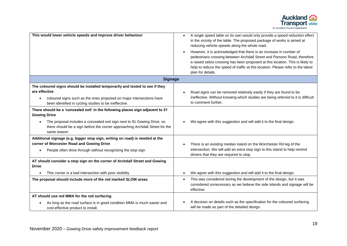

| This would lower vehicle speeds and improve driver behaviour                                                                                                           | A single speed table on its own would only provide a speed reduction effect<br>$\bullet$<br>in the vicinity of the table. The proposed package of works is aimed at<br>reducing vehicle speeds along the whole road.<br>However, it is acknowledged that there is an increase in number of<br>pedestrians crossing between Archdall Street and Parsons Road, therefore<br>a raised zebra crossing has been proposed at this location. This is likely to<br>help to reduce the speed of traffic at this location. Please refer to the latest<br>plan for details. |
|------------------------------------------------------------------------------------------------------------------------------------------------------------------------|------------------------------------------------------------------------------------------------------------------------------------------------------------------------------------------------------------------------------------------------------------------------------------------------------------------------------------------------------------------------------------------------------------------------------------------------------------------------------------------------------------------------------------------------------------------|
| <b>Signage</b>                                                                                                                                                         |                                                                                                                                                                                                                                                                                                                                                                                                                                                                                                                                                                  |
| The coloured signs should be installed temporarily and tested to see if they                                                                                           |                                                                                                                                                                                                                                                                                                                                                                                                                                                                                                                                                                  |
| are effective<br>coloured signs such as the ones proposed on major intersections have<br>$\bullet$<br>been identified in cycling studies to be ineffective.            | Road signs can be removed relatively easily if they are found to be<br>ineffective. Without knowing which studies are being referred to it is difficult<br>to comment further.                                                                                                                                                                                                                                                                                                                                                                                   |
| There should be a 'concealed exit' in the following places sign adjacent to 21<br><b>Gowing Drive</b>                                                                  |                                                                                                                                                                                                                                                                                                                                                                                                                                                                                                                                                                  |
| The proposal includes a concealed exit sign next to 91 Gowing Drive, so<br>there should be a sign before the corner approaching Archdall Street for the<br>same reason | We agree with this suggestion and will add it to the final design.                                                                                                                                                                                                                                                                                                                                                                                                                                                                                               |
| Additional signage (e.g, bigger stop sign, writing on road) is needed at the<br>corner of Worcester Road and Gowing Drive                                              | There is an existing median island on the Worchester Rd leg of the                                                                                                                                                                                                                                                                                                                                                                                                                                                                                               |
| People often drive through without recognising the stop sign                                                                                                           | intersection. We will add an extra stop sign to this island to help remind<br>drivers that they are required to stop.                                                                                                                                                                                                                                                                                                                                                                                                                                            |
| AT should consider a stop sign on the corner of Archdall Street and Gowing<br><b>Drive</b>                                                                             |                                                                                                                                                                                                                                                                                                                                                                                                                                                                                                                                                                  |
| This corner is a bad intersection with poor visibility                                                                                                                 | We agree with this suggestion and will add it to the final design.                                                                                                                                                                                                                                                                                                                                                                                                                                                                                               |
| The proposal should include more of the red marked SLOW areas                                                                                                          | This was considered during the development of the design, but it was<br>$\bullet$<br>considered unnecessary as we believe the side islands and signage will be<br>effective.                                                                                                                                                                                                                                                                                                                                                                                     |
| AT should use red MMA for the red surfacing                                                                                                                            |                                                                                                                                                                                                                                                                                                                                                                                                                                                                                                                                                                  |
| As long as the road surface is in good condition MMA is much easier and<br>cost-effective product to install.                                                          | A decision on details such as the specification for the coloured surfacing<br>will be made as part of the detailed design.                                                                                                                                                                                                                                                                                                                                                                                                                                       |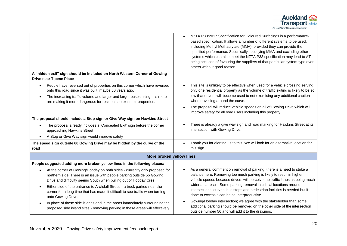

|                                                                                                                                                                                                                                                                                                        | NZTA P33:2017 Specification for Coloured Surfacings is a performance-<br>based specification. It allows a number of different systems to be used,<br>including Methyl Methacrylate (MMA), provided they can provide the<br>specified performance. Specifically specifying MMA and excluding other<br>systems which can also meet the NZTA P33 specification may lead to AT<br>being accused of favouring the suppliers of that particular system type over<br>others without good reason. |
|--------------------------------------------------------------------------------------------------------------------------------------------------------------------------------------------------------------------------------------------------------------------------------------------------------|-------------------------------------------------------------------------------------------------------------------------------------------------------------------------------------------------------------------------------------------------------------------------------------------------------------------------------------------------------------------------------------------------------------------------------------------------------------------------------------------|
| A "hidden exit" sign should be included on North Western Corner of Gowing<br><b>Drive near Tipene Place</b>                                                                                                                                                                                            |                                                                                                                                                                                                                                                                                                                                                                                                                                                                                           |
| People have reversed out of properties on this corner which have reversed<br>$\bullet$<br>onto this road since it was built, maybe 50 years ago.<br>The increasing traffic volume and larger and larger buses using this route<br>are making it more dangerous for residents to exit their properties. | This site is unlikely to be effective when used for a vehicle crossing serving<br>only one residential property as the volume of traffic exiting is likely to be so<br>low that drivers will become used to not exercising any additional caution<br>when travelling around the curve.<br>The proposal will reduce vehicle speeds on all of Gowing Drive which will<br>improve safety for all road users including this property.                                                         |
| The proposal should include a Stop sign or Give Way sign on Hawkins Street                                                                                                                                                                                                                             |                                                                                                                                                                                                                                                                                                                                                                                                                                                                                           |
| The proposal already includes a 'Concealed Exit' sign before the corner<br>approaching Hawkins Street                                                                                                                                                                                                  | There is already a give way sign and road marking for Hawkins Street at its<br>intersection with Gowing Drive.                                                                                                                                                                                                                                                                                                                                                                            |
| A Stop or Give Way sign would improve safety<br>$\bullet$                                                                                                                                                                                                                                              |                                                                                                                                                                                                                                                                                                                                                                                                                                                                                           |
| The speed sign outside 60 Gowing Drive may be hidden by the curve of the<br>road                                                                                                                                                                                                                       | Thank you for alerting us to this. We will look for an alternative location for<br>this sign.                                                                                                                                                                                                                                                                                                                                                                                             |
| More broken yellow lines                                                                                                                                                                                                                                                                               |                                                                                                                                                                                                                                                                                                                                                                                                                                                                                           |
| People suggested adding more broken yellow lines in the following places:                                                                                                                                                                                                                              |                                                                                                                                                                                                                                                                                                                                                                                                                                                                                           |
| At the corner of Gowing/Hobday on both sides - currently only proposed for<br>northern side. There is an issue with people parking outside 56 Gowing<br>Drive and difficulty seeing South when pulling out of Hobday Cres.                                                                             | As a general comment on removal of parking; there is a need to strike a<br>balance here. Removing too much parking is likely to result in higher<br>vehicle speeds because drivers will perceive the traffic lanes as being much<br>wider as a result. Some parking removal in critical locations around                                                                                                                                                                                  |
| Either side of the entrance to Archdall Street - a truck parked near the<br>$\bullet$<br>corner for a long time that has made it difficult to see traffic when turning<br>onto Gowing Drive.                                                                                                           | intersections, curves, bus stops and pedestrian facilities is needed but if<br>done to excess it can be counterproductive.                                                                                                                                                                                                                                                                                                                                                                |
| In place of these side islands and in the areas immediately surrounding the<br>proposed side island sites - removing parking in these areas will effectively                                                                                                                                           | Gowing/Hobday intersection; we agree with the stakeholder than some<br>additional parking should be removed on the other side of the intersection<br>outside number 56 and will add it to the drawings.                                                                                                                                                                                                                                                                                   |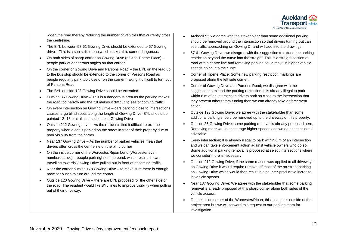

widen the road thereby reducing the number of vehicles that currently cross the centreline.

- The BYL between 57-61 Gowing Drive should be extended to 67 Gowing drive – This is a sun strike zone which makes this corner dangerous.
- On both sides of sharp corner on Gowing Drive (next to Tipene Place) people park at dangerous angles on that corner.
- On the corner of Gowing Drive and Parsons Road the BYL on the lead up to the bus stop should be extended to the corner of Parsons Road as people regularly park too close or on the corner making it difficult to turn out of Parsons Road
- The BYL outside 123 Gowing Drive should be extended
- Outside 85 Gowing Drive This is a dangerous area as the parking makes the road too narrow and the hill makes it difficult to see oncoming traffic
- On every intersection on Gowing Drive cars parking close to intersections causes large blind spots along the length of Gowing Drive. BYL should be painted 12 -18m at all intersections on Gowing Drive
- Outside 212 Gowing drive As the residents find it difficult to exit their property when a car is parked on the street in front of their property due to poor visibility from the corner.
- Near 137 Gowing Drive As the number of parked vehicles mean that drivers often cross the centreline on the blind corner
- On the inside corner of the Worcester/Ripon bend (Worcester even numbered side) – people park right on the bend, which results in cars travelling towards Gowing Drive pulling out in front of oncoming traffic.
- Near the corner outside 178 Gowing Drive to make sure there is enough room for buses to turn around the corner.
- Outside 120 Gowing Drive there are BYL proposed for the other side of the road. The resident would like BYL lines to improve visibility when pulling out of their driveway.
- Archdall St; we agree with the stakeholder than some additional parking should be removed around the intersection so that drivers turning out can see traffic approaching on Gowing Dr and will add it to the drawings.
- 57-61 Gowing Drive; we disagree with the suggestion to extend the parking restriction beyond the curve into the straight. This is a straight section of road with a centre line and removing parking could result in higher vehicle speeds going into the curve.
- Corner of Tipene Place: Some new parking restriction markings are proposed along the left side corner.
- Corner of Gowing Drive and Parsons Road; we disagree with the suggestion to extend the parking restriction. It is already illegal to park within 6 m of an intersection drivers park so close to the intersection that they prevent others from turning then we can already take enforcement action.
- Outside 123 Gowing Drive; we agree with the stakeholder than some additional parking should be removed up to the driveway of this property.
- Outside 85 Gowing Drive; some parking removal is already proposed here. Removing more would encourage higher speeds and we do not consider it advisable.
- Every intersection; It is already illegal to park within 6 m of an intersection and we can take enforcement action against vehicle owners who do so. Some additional parking removal is proposed at select intersections where we consider more is necessary.
- Outside 212 Gowing Drive; if the same reason was applied to all driveways on Gowing Drive it would require removal of most of the on-street parking on Gowing Drive which would then result in a counter-productive increase in vehicle speeds.
- Near 137 Gowing Drive: We agree with the stakeholder that some parking removal is already proposed at this sharp corner along both sides of the vehicle access.
- On the inside corner of the Worcester/Ripon; this location is outside of the project area but we will forward this request to our parking team for investigation.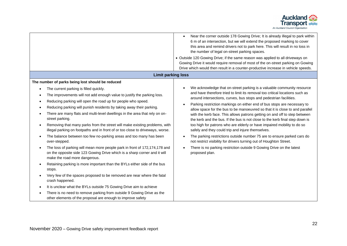

|                                                                                                                                                                                                                                                                                                                                                                                                                                                                                                                                                                                                                                                                                                                                                                                                                                                                                                                                                                                                                                                                                                                                                                                                                                                                                                    | Near the corner outside 178 Gowing Drive; It is already illegal to park within<br>6 m of an intersection, but we will extend the proposed marking to cover<br>this area and remind drivers not to park here. This will result in no loss in<br>the number of legal on-street parking spaces.<br>• Outside 120 Gowing Drive; if the same reason was applied to all driveways on<br>Gowing Drive it would require removal of most of the on-street parking on Gowing<br>Drive which would then result in a counter-productive increase in vehicle speeds.                                                                                                                                                                                                                                                                                                                                                                                         |
|----------------------------------------------------------------------------------------------------------------------------------------------------------------------------------------------------------------------------------------------------------------------------------------------------------------------------------------------------------------------------------------------------------------------------------------------------------------------------------------------------------------------------------------------------------------------------------------------------------------------------------------------------------------------------------------------------------------------------------------------------------------------------------------------------------------------------------------------------------------------------------------------------------------------------------------------------------------------------------------------------------------------------------------------------------------------------------------------------------------------------------------------------------------------------------------------------------------------------------------------------------------------------------------------------|-------------------------------------------------------------------------------------------------------------------------------------------------------------------------------------------------------------------------------------------------------------------------------------------------------------------------------------------------------------------------------------------------------------------------------------------------------------------------------------------------------------------------------------------------------------------------------------------------------------------------------------------------------------------------------------------------------------------------------------------------------------------------------------------------------------------------------------------------------------------------------------------------------------------------------------------------|
| <b>Limit parking loss</b>                                                                                                                                                                                                                                                                                                                                                                                                                                                                                                                                                                                                                                                                                                                                                                                                                                                                                                                                                                                                                                                                                                                                                                                                                                                                          |                                                                                                                                                                                                                                                                                                                                                                                                                                                                                                                                                                                                                                                                                                                                                                                                                                                                                                                                                 |
| The number of parks being lost should be reduced<br>The current parking is filled quickly.<br>$\bullet$<br>The improvements will not add enough value to justify the parking loss.<br>Reducing parking will open the road up for people who speed.<br>Reducing parking will punish residents by taking away their parking.<br>There are many flats and multi-level dwellings in the area that rely on on-<br>street parking.<br>Removing that many parks from the street will make existing problems, with<br>$\bullet$<br>illegal parking on footpaths and in front of or too close to driveways, worse.<br>The balance between too few no-parking areas and too many has been<br>over-stepped.<br>The loss of parking will mean more people park in front of 172,174,178 and<br>on the opposite side 123 Gowing Drive which is a sharp corner and it will<br>make the road more dangerous.<br>Retaining parking is more important than the BYLs either side of the bus<br>stops.<br>Very few of the spaces proposed to be removed are near where the fatal<br>crash happened.<br>It is unclear what the BYLs outside 75 Gowing Drive aim to achieve<br>٠<br>There is no need to remove parking from outside 9 Gowing Drive as the<br>other elements of the proposal are enough to improve safety | We acknowledge that on-street parking is a valuable community resource<br>and have therefore tried to limit its removal too critical locations such as<br>around intersections, curves, bus stops and pedestrian facilities.<br>Parking restriction markings on either end of bus stops are necessary to<br>$\bullet$<br>allow space for the bus to be manoeuvred so that it is close to and parallel<br>with the kerb face. This allows patrons getting on and off to step between<br>the kerb and the bus. If the bus is not close to the kerb final step down is<br>too high for patrons who are elderly or have impaired mobility to do so<br>safely and they could trip and injure themselves.<br>The parking restrictions outside number 75 are to ensure parked cars do<br>not restrict visibility for drivers turning out of Houghton Street.<br>There is no parking restriction outside 9 Gowing Drive on the latest<br>proposed plan. |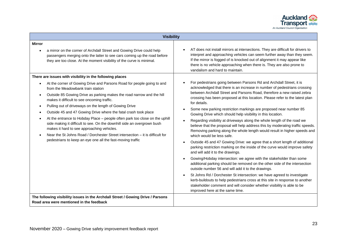

| <b>Visibility</b>                                                                                                                                                                                                                                                                                                                                                                                                                                                                                                                                                                                                                                                                                                                                                                                             |                                                                                                                                                                                                                                                                                                                                                                                                                                                                                                                                                                                                                                                                                                                                                                                                                                                                                                                                                                                                                                                                                                                                                                                                                                                                                                                                                                                                                          |
|---------------------------------------------------------------------------------------------------------------------------------------------------------------------------------------------------------------------------------------------------------------------------------------------------------------------------------------------------------------------------------------------------------------------------------------------------------------------------------------------------------------------------------------------------------------------------------------------------------------------------------------------------------------------------------------------------------------------------------------------------------------------------------------------------------------|--------------------------------------------------------------------------------------------------------------------------------------------------------------------------------------------------------------------------------------------------------------------------------------------------------------------------------------------------------------------------------------------------------------------------------------------------------------------------------------------------------------------------------------------------------------------------------------------------------------------------------------------------------------------------------------------------------------------------------------------------------------------------------------------------------------------------------------------------------------------------------------------------------------------------------------------------------------------------------------------------------------------------------------------------------------------------------------------------------------------------------------------------------------------------------------------------------------------------------------------------------------------------------------------------------------------------------------------------------------------------------------------------------------------------|
| <b>Mirror</b><br>a mirror on the corner of Archdall Street and Gowing Drive could help<br>passengers merging onto the latter to see cars coming up the road before<br>they are too close. At the moment visibility of the curve is minimal.                                                                                                                                                                                                                                                                                                                                                                                                                                                                                                                                                                   | AT does not install mirrors at intersections. They are difficult for drivers to<br>interpret and approaching vehicles can seem further away than they seem.<br>If the mirror is fogged of is knocked out of alignment it may appear like<br>there is no vehicle approaching when there is. They are also prone to<br>vandalism and hard to maintain.                                                                                                                                                                                                                                                                                                                                                                                                                                                                                                                                                                                                                                                                                                                                                                                                                                                                                                                                                                                                                                                                     |
| There are issues with visibility in the following places<br>At the corner of Gowing Drive and Parsons Road for people going to and<br>from the Meadowbank train station<br>Outside 85 Gowing Drive as parking makes the road narrow and the hill<br>$\bullet$<br>makes it difficult to see oncoming traffic.<br>Pulling out of driveways on the length of Gowing Drive<br>$\bullet$<br>Outside 45 and 47 Gowing Drive where the fatal crash took place<br>At the entrance to Hobday Place - people often park too close on the uphill<br>side making it difficult to see. On the downhill side an overgrown bush<br>makes it hard to see approaching vehicles.<br>Near the St Johns Road / Dorchester Street intersection – it is difficult for<br>pedestrians to keep an eye one all the fast-moving traffic | For pedestrians going between Parsons Rd and Archdall Street, it is<br>acknowledged that there is an increase in number of pedestrians crossing<br>between Archdall Street and Parsons Road, therefore a new raised zebra<br>crossing has been proposed at this location. Please refer to the latest plan<br>for details.<br>Some new parking restriction markings are proposed near number 85<br>Gowing Drive which should help visibility in this location.<br>Regarding visibility at driveways along the whole length of the road we<br>believe that the proposal will help address this by moderating traffic speeds.<br>Removing parking along the whole length would result in higher speeds and<br>which would be less safe.<br>Outside 45 and 47 Gowing Drive: we agree that a short length of additional<br>parking restriction marking on the inside of the curve would improve safety<br>and will add it to the drawings.<br>Gowing/Hobday intersection: we agree with the stakeholder than some<br>additional parking should be removed on the other side of the intersection<br>outside number 56 and will add it to the drawings.<br>St Johns Rd / Dorchester St intersection: we have agreed to investigate<br>kerb-buildouts to help pedestrians cross at this site in response to another<br>stakeholder comment and will consider whether visibility is able to be<br>improved here at the same time. |
| The following visibility issues in the Archdall Street / Gowing Drive / Parsons<br>Road area were mentioned in the feedback                                                                                                                                                                                                                                                                                                                                                                                                                                                                                                                                                                                                                                                                                   |                                                                                                                                                                                                                                                                                                                                                                                                                                                                                                                                                                                                                                                                                                                                                                                                                                                                                                                                                                                                                                                                                                                                                                                                                                                                                                                                                                                                                          |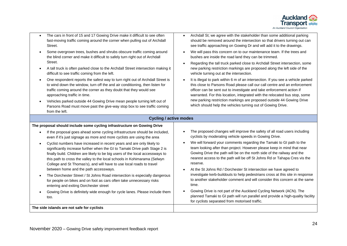

- The cars in front of 15 and 17 Gowing Drive make it difficult to see often fast-moving traffic coming around the corner when pulling out of Archdall Street.
- Some overgrown trees, bushes and shrubs obscure traffic coming around the blind corner and make it difficult to safely turn right out of Archdall Street.
- A tall truck is often parked close to the Archdall Street intersection making it difficult to see traffic coming from the left.
- One respondent reports the safest way to turn right out of Archdall Street is to wind down the window, turn off the and air conditioning, then listen for traffic coming around the corner as they doubt that they would see approaching traffic in time.
- Vehicles parked outside 44 Gowing Drive mean people turning left out of Parsons Road must move past the give-way stop box to see traffic coming from the left.
- Archdall St; we agree with the stakeholder than some additional parking should be removed around the intersection so that drivers turning out can see traffic approaching on Gowing Dr and will add it to the drawings.
- We will pass this concern on to our maintenance team. If the trees and bushes are inside the road land they can be trimmed.
- Regarding the tall truck parked close to Archdall Street intersection, some new parking restriction markings are proposed along the left side of the vehicle turning out at the intersection.
- It is illegal to park within 6 m of an intersection. If you see a vehicle parked this close to Parsons Road please call our call centre and an enforcement officer can be sent out to investigate and take enforcement action if warranted. For this location, integrated with the relocated bus stop, some new parking restriction markings are proposed outside 44 Gowing Drive which should help the vehicles turning out of Gowing Drive.

#### **Cycling / active modes**

#### **The proposal should include some cycling infrastructure on Gowing Drive** • If the proposal goes ahead some cycling infrastructure should be included, even if it's just signage as more and more cyclists are using the area • Cyclist numbers have increased in recent years and are only likely to significantly increase further when the GI to Tamaki Drive path Stage 2 is finally build. Children are likely to be big users of the local accessways to this path to cross the valley to the local schools in Kohimarama (Selwyn College and St Thomas's), and will have to use local roads to travel between home and the path accessways. • The Dorchester Street / St Johns Road intersection is especially dangerous for people on bikes and on foot as cars often take unnecessary risks entering and exiting Dorchester street • Gowing Drive is definitely wide enough for cycle lanes. Please include them too. • The proposed changes will improve the safety of all road users including cyclists by moderating vehicle speeds in Gowing Drive. • We will forward your comments regarding the Tamaki to GI path to the team looking after than project. However please keep in mind that near Gowing Drive the path will be on the north side of the railway and the nearest access to the path will be off St Johns Rd or Tahapa Cres vis the reserve. • At the St Johns Rd / Dorchester St intersection we have agreed to investigate kerb-buildouts to help pedestrians cross at this site in response to another stakeholder comment and will consider this concern at the same time. • Gowing Drive is not part of the Auckland Cycling Network (ACN). The planned Tamaki to GI path will run parallel and provide a high-quality facility for cyclists separated from motorised traffic. **The side islands are not safe for cyclists**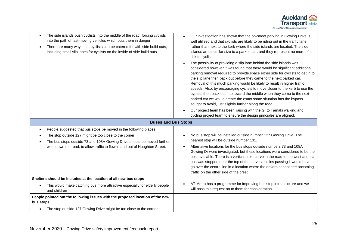

| The side islands push cyclists into the middle of the road, forcing cyclists<br>$\bullet$<br>into the path of fast-moving vehicles which puts them in danger.<br>There are many ways that cyclists can be catered for with side build outs,<br>including small slip lanes for cyclists on the inside of side build outs. | Our investigation has shown that the on-street parking in Gowing Drive is<br>well utilised and that cyclists are likely to be riding out in the traffic lane<br>rather than next to the kerb where the side islands are located. The side<br>islands are a similar size to a parked car, and they represent no more of a<br>risk to cyclists.<br>The possibility of providing a slip lane behind the side islands was<br>considered however it was found that there would be significant additional<br>parking removal required to provide space either side for cyclists to get in to<br>the slip lane then back out before they came to the next parked car.<br>Removal of this much parking would be likely to result in higher traffic<br>speeds. Also, by encouraging cyclists to move closer to the kerb to use the<br>bypass then back out into toward the middle when they come to the next<br>parked car we would create the exact same situation has the bypass<br>sought to avoid, just slightly further along the road.<br>Our project team has been liaising with the GI to Tamaki walking and<br>cycling project team to ensure the design principles are aligned. |
|--------------------------------------------------------------------------------------------------------------------------------------------------------------------------------------------------------------------------------------------------------------------------------------------------------------------------|----------------------------------------------------------------------------------------------------------------------------------------------------------------------------------------------------------------------------------------------------------------------------------------------------------------------------------------------------------------------------------------------------------------------------------------------------------------------------------------------------------------------------------------------------------------------------------------------------------------------------------------------------------------------------------------------------------------------------------------------------------------------------------------------------------------------------------------------------------------------------------------------------------------------------------------------------------------------------------------------------------------------------------------------------------------------------------------------------------------------------------------------------------------------------------|
| <b>Buses and Bus Stops</b>                                                                                                                                                                                                                                                                                               |                                                                                                                                                                                                                                                                                                                                                                                                                                                                                                                                                                                                                                                                                                                                                                                                                                                                                                                                                                                                                                                                                                                                                                                  |
| People suggested that bus stops be moved in the following places<br>$\bullet$<br>The stop outside 127 might be too close to the corner<br>The bus stops outside 73 and 108A Gowing Drive should be moved further<br>west down the road, to allow traffic to flow in and out of Houghton Street.                          | No bus stop will be installed outside number 127 Gowing Drive. The<br>nearest stop will be outside number 131.<br>Alternative locations for the bus stops outside numbers 73 and 108A<br>Gowing Dr were investigated, but these locations were considered to be the<br>best available. There is a vertical crest curve in the road to the west and if a<br>bus was stopped near the top of the curve vehicles passing it would have to<br>go over the centre line in a location where the drivers cannot see oncoming<br>traffic on the other side of the crest.                                                                                                                                                                                                                                                                                                                                                                                                                                                                                                                                                                                                                 |
| Shelters should be included at the location of all new bus stops<br>This would make catching bus more attractive especially for elderly people<br>$\bullet$<br>and children                                                                                                                                              | AT Metro has a programme for improving bus stop infrastructure and we<br>will pass this request on to them for consideration.                                                                                                                                                                                                                                                                                                                                                                                                                                                                                                                                                                                                                                                                                                                                                                                                                                                                                                                                                                                                                                                    |
| People pointed out the following issues with the proposed location of the new<br>bus stops<br>The stop outside 127 Gowing Drive might be too close to the corner<br>$\bullet$                                                                                                                                            |                                                                                                                                                                                                                                                                                                                                                                                                                                                                                                                                                                                                                                                                                                                                                                                                                                                                                                                                                                                                                                                                                                                                                                                  |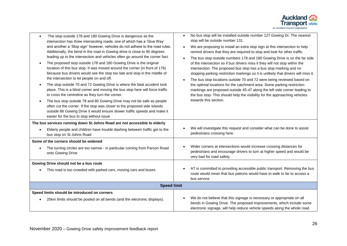

| The stop outside 178 and 180 Gowing Drive is dangerous as the<br>$\bullet$<br>intersection has three intersecting roads, one of which has a 'Give Way'<br>and another a 'Stop sign' however, vehicles do not adhere to the road rules.<br>Additionally, the bend in the road in Gowing drive is close to 90 degrees<br>leading up to the intersection and vehicles often go around the corner fast.<br>The proposed stop outside 178 and 180 Gowing Drive is the original<br>location of this bus stop. It was moved around the corner (in front of 176)<br>because bus drivers would see the stop too late and stop in the middle of<br>the intersection to let people on and off.<br>The stop outside 70 and 72 Gowing Drive is where the fatal accident took<br>$\bullet$<br>place. This is a blind corner and moving the bus stop here will force traffic<br>to cross the centreline as they turn the corner.<br>The bus stop outside 78 and 80 Gowing Drive may not be safe as people<br>often cut the corner. If the stop was closer to the proposed side islands<br>outside 86 Gowing Drive it would ensure slower traffic speeds and make it<br>easier for the bus to stop without issue | No bus stop will be installed outside number 127 Gowing Dr. The nearest<br>stop will be outside number 131.<br>We are proposing to install an extra stop sign at this intersection to help<br>remind drivers that they are required to stop and look for other traffic.<br>The bus stop outside numbers 178 and 180 Gowing Drive is on the far side<br>of the intersection so if bus drivers miss it they will not stop within the<br>intersection. The proposed bus stop has a bus stop marking and no<br>stopping parking restriction markings so it is unlikely that drivers will miss it.<br>The bus stop locations outside 70 and 72 were being reviewed based on<br>the optimal locations for the catchment area. Some parking restriction<br>markings are proposed outside 45-47 along the left side corner leading to<br>the bus stop. This should help the visibility for the approaching vehicles<br>towards this section. |  |
|--------------------------------------------------------------------------------------------------------------------------------------------------------------------------------------------------------------------------------------------------------------------------------------------------------------------------------------------------------------------------------------------------------------------------------------------------------------------------------------------------------------------------------------------------------------------------------------------------------------------------------------------------------------------------------------------------------------------------------------------------------------------------------------------------------------------------------------------------------------------------------------------------------------------------------------------------------------------------------------------------------------------------------------------------------------------------------------------------------------------------------------------------------------------------------------------------|--------------------------------------------------------------------------------------------------------------------------------------------------------------------------------------------------------------------------------------------------------------------------------------------------------------------------------------------------------------------------------------------------------------------------------------------------------------------------------------------------------------------------------------------------------------------------------------------------------------------------------------------------------------------------------------------------------------------------------------------------------------------------------------------------------------------------------------------------------------------------------------------------------------------------------------|--|
| The bus services running down St Johns Road are not accessible to elderly<br>Elderly people and children have trouble dashing between traffic get to the<br>bus stop on St Johns Road                                                                                                                                                                                                                                                                                                                                                                                                                                                                                                                                                                                                                                                                                                                                                                                                                                                                                                                                                                                                            | We will investigate this request and consider what can be done to assist<br>pedestrians crossing here.                                                                                                                                                                                                                                                                                                                                                                                                                                                                                                                                                                                                                                                                                                                                                                                                                               |  |
| Some of the corners should be widened<br>The turning circles are too narrow - in particular coming from Parson Road<br>onto Gowing Drive                                                                                                                                                                                                                                                                                                                                                                                                                                                                                                                                                                                                                                                                                                                                                                                                                                                                                                                                                                                                                                                         | Wider corners at intersections would increase crossing distances for<br>pedestrians and encourage drivers to turn at higher speed and would be<br>very bad for road safety.                                                                                                                                                                                                                                                                                                                                                                                                                                                                                                                                                                                                                                                                                                                                                          |  |
| Gowing Drive should not be a bus route<br>This road is too crowded with parked cars, moving cars and buses                                                                                                                                                                                                                                                                                                                                                                                                                                                                                                                                                                                                                                                                                                                                                                                                                                                                                                                                                                                                                                                                                       | AT is committed to providing accessible public transport. Removing the bus<br>route would mean that bus patrons would have to walk to far to access a<br>bus service.                                                                                                                                                                                                                                                                                                                                                                                                                                                                                                                                                                                                                                                                                                                                                                |  |
| <b>Speed limit</b>                                                                                                                                                                                                                                                                                                                                                                                                                                                                                                                                                                                                                                                                                                                                                                                                                                                                                                                                                                                                                                                                                                                                                                               |                                                                                                                                                                                                                                                                                                                                                                                                                                                                                                                                                                                                                                                                                                                                                                                                                                                                                                                                      |  |
| Speed limits should be introduced on corners<br>25km limits should be posted on all bends (and the electronic displays).                                                                                                                                                                                                                                                                                                                                                                                                                                                                                                                                                                                                                                                                                                                                                                                                                                                                                                                                                                                                                                                                         | We do not believe that this signage is necessary or appropriate on all<br>bends in Gowing Drive. The proposed improvements, which include some<br>electronic signage, will help reduce vehicle speeds along the whole road.                                                                                                                                                                                                                                                                                                                                                                                                                                                                                                                                                                                                                                                                                                          |  |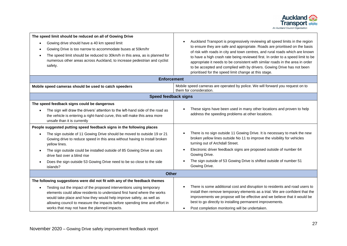

| The speed limit should be reduced on all of Gowing Drive<br>Gowing drive should have a 40 km speed limit<br>Gowing Drive is too narrow to accommodate buses at 50km/hr<br>$\bullet$<br>The speed limit should be reduced to 30km/h in this area, as is planned for<br>numerous other areas across Auckland, to increase pedestrian and cyclist<br>safety.         | Auckland Transport is progressively reviewing all speed limits in the region<br>to ensure they are safe and appropriate. Roads are prioritised on the basis<br>of risk with roads in city and town centres, and rural roads which are known<br>to have a high crash rate being reviewed first. In order to a speed limit to be<br>appropriate it needs to be consistent with similar roads in the area in order<br>to be accepted and complied with by drivers. Gowing Drive has not been<br>prioritised for the speed limit change at this stage. |  |
|-------------------------------------------------------------------------------------------------------------------------------------------------------------------------------------------------------------------------------------------------------------------------------------------------------------------------------------------------------------------|----------------------------------------------------------------------------------------------------------------------------------------------------------------------------------------------------------------------------------------------------------------------------------------------------------------------------------------------------------------------------------------------------------------------------------------------------------------------------------------------------------------------------------------------------|--|
| <b>Enforcement</b>                                                                                                                                                                                                                                                                                                                                                |                                                                                                                                                                                                                                                                                                                                                                                                                                                                                                                                                    |  |
| Mobile speed cameras should be used to catch speeders                                                                                                                                                                                                                                                                                                             | Mobile speed cameras are operated by police. We will forward you request on to<br>them for consideration.                                                                                                                                                                                                                                                                                                                                                                                                                                          |  |
| <b>Speed feedback signs</b>                                                                                                                                                                                                                                                                                                                                       |                                                                                                                                                                                                                                                                                                                                                                                                                                                                                                                                                    |  |
| The speed feedback signs could be dangerous                                                                                                                                                                                                                                                                                                                       |                                                                                                                                                                                                                                                                                                                                                                                                                                                                                                                                                    |  |
| The sign will draw the drivers' attention to the left-hand side of the road as<br>$\bullet$<br>the vehicle is entering a right-hand curve, this will make this area more<br>unsafe than it is currently                                                                                                                                                           | These signs have been used in many other locations and proven to help<br>address the speeding problems at other locations.                                                                                                                                                                                                                                                                                                                                                                                                                         |  |
| People suggested putting speed feedback signs in the following places                                                                                                                                                                                                                                                                                             |                                                                                                                                                                                                                                                                                                                                                                                                                                                                                                                                                    |  |
| The sign outside of 11 Gowing Drive should be moved to outside 19 or 21<br>Gowing drive to reduce speed in this area without having to install broken<br>yellow lines.                                                                                                                                                                                            | There is no sign outside 11 Gowing Drive. It is necessary to mark the new<br>broken yellow lines outside No 11 to improve the visibility for vehicles<br>turning out of Archdall Street.                                                                                                                                                                                                                                                                                                                                                           |  |
| The sign outside could be installed outside of 85 Gowing Drive as cars<br>$\bullet$<br>drive fast over a blind rise                                                                                                                                                                                                                                               | Electronic driver feedback signs are proposed outside of number 64<br>Gowing Drive.                                                                                                                                                                                                                                                                                                                                                                                                                                                                |  |
| Does the sign outside 53 Gowing Drive need to be so close to the side<br>islands?                                                                                                                                                                                                                                                                                 | The sign outside of 53 Gowing Drive is shifted outside of number 51<br>Gowing Drive.                                                                                                                                                                                                                                                                                                                                                                                                                                                               |  |
| <b>Other</b>                                                                                                                                                                                                                                                                                                                                                      |                                                                                                                                                                                                                                                                                                                                                                                                                                                                                                                                                    |  |
| The following suggestions were did not fit with any of the feedback themes                                                                                                                                                                                                                                                                                        |                                                                                                                                                                                                                                                                                                                                                                                                                                                                                                                                                    |  |
| Testing out the impact of the proposed interventions using temporary<br>$\bullet$<br>elements could allow residents to understand first hand where the works<br>would take place and how they would help improve safety, as well as<br>allowing council to measure the impacts before spending time and effort in<br>works that may not have the planned impacts. | There is some additional cost and disruption to residents and road users to<br>install then remove temporary elements as a trial. We are confident that the<br>improvements we propose will be effective and we believe that it would be<br>best to go directly to installing permanent improvements.<br>Post completion monitoring will be undertaken.                                                                                                                                                                                            |  |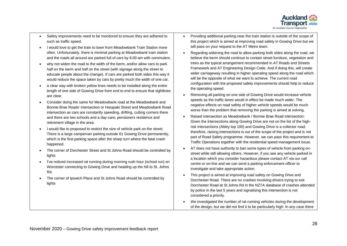

- Safety improvements need to be monitored to ensure they are adhered to such as traffic speed.
- I would love to get the train to town from Meadowbank Train Station more often. Unfortunately, there is minimal parking at Meadowbank train station and the roads all around are parked full of cars by 8.00 am with commuters.
- why not widen the road to the width of the berm, and/or allow cars to park half on the berm and half on the street (with signage along the street to educate people about the change). If cars are parked both sides this way it would reduce the space taken by cars by pretty much the width of one car.
- a clear way with broken yellow lines needs to be installed along the entire length of one side of Gowing Drive from end to end to ensure that sightlines are clear.
- Consider doing the same for Meadowbank road at the Meadowbank and Bonnie Brae Roads' intersection or Harapaki Street and Meadowbank Road intersection as cars are constantly speeding, drifting, cutting corners there and there are two schools and a day-care, pensioners residence and retirement village in the area.
- I would like to proposed to restrict the size of vehicle park on the street. There is a large campervan parking outside 61 Gowing Drive permanently, which is the first parking space after the sharp turn where the fatal crash happened.
- The corner of Dorchester Street and St Johns Road should be controlled by lights
- I've noticed increased rat running during morning rush hour (school run) on Worcester connecting to Gowing Drive and heading up the hill to St. Johns Rd.
- The corner of Ipswich Place and St Johns Road should be controlled by lights
- Providing additional parking near the train station is outside of the scope of this project which is aimed at improving road safety in Gowing Drive but we will pass on your request to the AT Metro team.
- Regarding widening the road to allow parking both sides along the road, we believe the berm should continue to contain street furniture, vegetation and trees as the typical arrangement recommended in AT Roads and Streets Framework and AT Engineering Design Code. And if doing this, will create wider carriageway resulting in higher operating speed along the road which will be the opposite of what we want to achieve. The current road configuration with the proposed safety improvements should help to reduce the operating speed.
- Removing all parking on one side of Gowing Drive would increase vehicle speeds as the traffic lanes would in effect be made much wider. The negative effects on road safety of higher vehicle speeds would be much worse than the problem that removing the parking is aimed at solving.
- Raised intersection as Meadowbank / Bonnie Brae Road intersection: Given the intersections along Gowing Drive are not on the list of the highrisk intersections (Abley top 100) and Gowing Drive is a collector road, therefore, raising intersections is out of the scope of the project and is not part of Road Safety programme. However, we can pass this requirement to Traffic Operations together with the residential speed management issue.
- AT does not have authority to ban some types of vehicle from parking onstreet while still allowing others. However, if you see any vehicle parked in a location which you consider hazardous please contact AT via our call centre or on-line and we can send a parking enforcement officer to investigate and take appropriate action.
- This project is aimed at improving road safety on Gowing Drive and Dorchester Road. There are no crashes involving drivers trying to exit Dorchester Road at St Johns Rd in the NZTA database of crashes attended by police in the last 5 years and signalising this intersection is not considered a priority.
- We investigated the number of rat-running vehicles during the development of the design, but we did not find it to be particularly high. In any case there